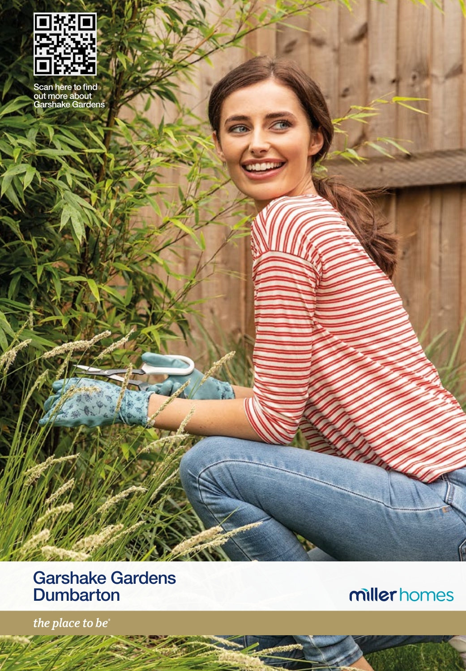

Scan here to find out more about Garshake Gardens

# Garshake Gardens **Dumbarton**

millerhomes

the place to be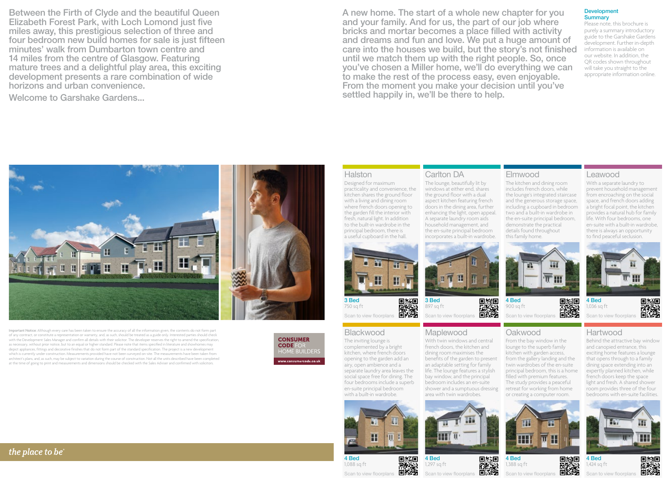Between the Firth of Clyde and the beautiful Queen Elizabeth Forest Park, with Loch Lomond just five miles away, this prestigious selection of three and four bedroom new build homes for sale is just fifteen minutes' walk from Dumbarton town centre and 14 miles from the centre of Glasgow. Featuring mature trees and a delightful play area, this exciting development presents a rare combination of wide horizons and urban convenience.

Welcome to Garshake Gardens...

A new home. The start of a whole new chapter for you and your family. And for us, the part of our job where bricks and mortar becomes a place filled with activity and dreams and fun and love. We put a huge amount of care into the houses we build, but the story's not finished until we match them up with the right people. So, once you've chosen a Miller home, we'll do everything we can to make the rest of the process easy, even enjoyable. From the moment you make your decision until you've settled happily in, we'll be there to help.

Carlton DA

3 Bed 897 sq ft

sen to view floorplans

With twin windows and central french doors, the kitchen and dining room maximises the benefits of the garden to present an adaptable setting for family life. The lounge features a stylish bay window, and the principal bedroom includes an en-suite shower and a sumptuous dressing

**Maplewood** 

The lounge, beautifully lit by windows at either end, shares the ground floor with a dual aspect kitchen featuring french doors in the dining area, further enhancing the light, open appeal. A separate laundry room aids household management, and the en-suite principal bedroom incorporates a built-in wardrobe.

#### Development **Summary**

Please note, this brochure is purely a summary introductory guide to the Garshake Gardens development. Further in-depth information is available on our website. In addition, the QR codes shown throughout will take you straight to the appropriate information online.

Important Notice: Although every care has been taken to ensure the accuracy of all the information given, the contents do not form part of any contract, or constitute a representation or warranty, and, as such, should be treated as a guide only. Interested parties should check with the Development Sales Manager and confirm all details with their solicitor. The developer reserves the right to amend the specification, as necessary, without prior notice, but to an equal or higher standard. Please note that items specified in literature and showhomes may depict appliances, fittings and decorative finishes that do not form part of the standard specification. The project is a new development which is currently under construction. Measurements provided have not been surveyed on-site. The measurements have been taken from architect's plans, and, as such, may be subject to variation during the course of construction. Not all the units described have been completed at the time of going to print and measurements and dimensions should be checked with the Sales Adviser and confirmed with solicitors.



### **Halston**

Designed for maximum practicality and convenience, the kitchen shares the ground floor with a living and dining room where french doors opening to the garden fill the interior with fresh, natural light. In addition to the built-in wardrobe in the principal bedroom, there is a useful cupboard in the hall.



回线回 釅 750 sq ft Scan to view floorplans

### **Blackwood**

The inviting lounge is complemented by a bright kitchen, where french doors opening to the garden add an airy, open ambience and a separate laundry area leaves the social space free for dining. The four bedrooms include a superb en-suite principal bedroom with a built-in wardrobe.



4 Bed 回紅回 釅 1,088 sq ft Scan to view floorpl

**THE U** 



回游回

## ▓▓ Scan to view floorplans

疆  $\overline{\overline{\mathbb{T}}}$  III

can to view floorplans

回报道

Hartwood

4 Bed 1,036 sq ft

Leawood

With a separate laundry to prevent household management from encroaching on the social space, and french doors adding a bright focal point, the kitchen provides a natural hub for family life. With four bedrooms, one en-suite with a built-in wardrobe, there is always an opportunity to find peaceful seclusion.

Behind the attractive bay window and canopied entrance, this exciting home features a lounge that opens through to a family dining space extending into an expertly planned kitchen, while french doors keep the space light and fresh. A shared shower room provides three of the four bedrooms with en-suite facilities.





回線回 藤枝 Θß Scan to view floorp

4 Bed







藤溪 回诉 Scan to view floorpla

4 Bed 1,388 sq ft

Elmwood

4 Bed 900 sq ft

回線回

▓▓

Oakwood

From the bay window in the lounge to the superb family kitchen with garden access, from the gallery landing and the twin wardrobes of the en-suite principal bedroom, this is a home filled with premium features. The study provides a peaceful retreat for working from home or creating a computer room.

The kitchen and dining room includes french doors, while the lounge's integrated staircase and the generous storage space, including a cupboard in bedroom two and a built-in wardrobe in the en-suite principal bedroom, demonstrate the practical details found throughout this family home.

1,424 sq ft



the place to be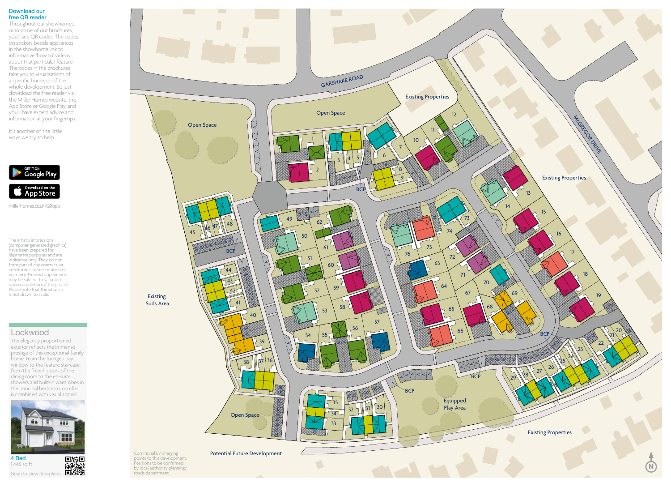#### Download our free QR reader

Throughout our showhomes, or in some of our brochures, you'll see QR codes. The codes on stickers beside appliances in the showhome link to informative 'how to' videos about that particular feature. The codes in the brochures take you to visualisations of a specific home, or of the whole development. So just download the free reader via the Miller Homes website, the App Store or Google Play, and you'll have expert advice and information at your fingertips.

It's another of the little ways we try to help.



millerhomes.co.uk/QRapp

The artist's impressions (computer-generated graphics) have been prepared for illustrative purposes and are indicative only. They do not form part of any contract, or constitute a representation or warranty. External appearance may be subject to variation upon completion of the project. Please note that the siteplan is not drawn to scale.

### **Lockwood**

The elegantly proportioned exterior reflects the immense prestige of this exceptional family home. From the lounge's bay window to the feature staircase, from the french doors of the dining room to the en-suite showers and built-in wardrobes in the principal bedroom, comfort is combined with visual appeal.



Communal EV charging points to this development. Positions to be confirmed by local authority planning/ roads department

Existing Suds Area